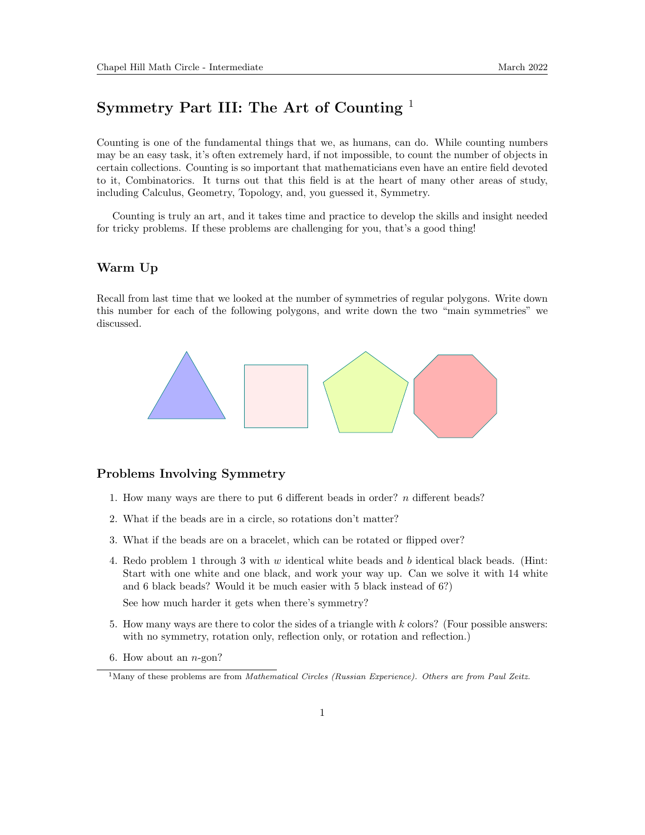## Symmetry Part III: The Art of Counting <sup>1</sup>

Counting is one of the fundamental things that we, as humans, can do. While counting numbers may be an easy task, it's often extremely hard, if not impossible, to count the number of objects in certain collections. Counting is so important that mathematicians even have an entire field devoted to it, Combinatorics. It turns out that this field is at the heart of many other areas of study, including Calculus, Geometry, Topology, and, you guessed it, Symmetry.

Counting is truly an art, and it takes time and practice to develop the skills and insight needed for tricky problems. If these problems are challenging for you, that's a good thing!

## Warm Up

Recall from last time that we looked at the number of symmetries of regular polygons. Write down this number for each of the following polygons, and write down the two "main symmetries" we discussed.



## Problems Involving Symmetry

- 1. How many ways are there to put 6 different beads in order? n different beads?
- 2. What if the beads are in a circle, so rotations don't matter?
- 3. What if the beads are on a bracelet, which can be rotated or flipped over?
- 4. Redo problem 1 through 3 with  $w$  identical white beads and  $b$  identical black beads. (Hint: Start with one white and one black, and work your way up. Can we solve it with 14 white and 6 black beads? Would it be much easier with 5 black instead of 6?)

See how much harder it gets when there's symmetry?

- 5. How many ways are there to color the sides of a triangle with k colors? (Four possible answers: with no symmetry, rotation only, reflection only, or rotation and reflection.)
- 6. How about an  $n$ -gon?

<sup>&</sup>lt;sup>1</sup>Many of these problems are from *Mathematical Circles (Russian Experience)*. Others are from Paul Zeitz.